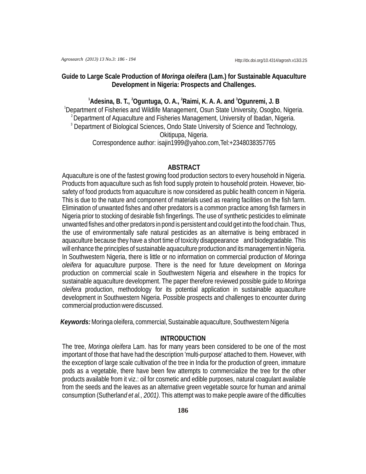*Agrosearch (2013) 13 No.3: 186 - 194* Http://dx.doi.org/10.4314/agrosh.v13i3.2S

**Guide to Large Scale Production of** *Moringa oleifera* **(Lam.) for Sustainable Aquaculture Development in Nigeria: Prospects and Challenges.**

<sup>1</sup>Adesina, B. T., <sup>2</sup>Oguntuga, O. A., <sup>2</sup>Raimi, K. A. A. and <sup>3</sup>Ogunremi, J. B <sup>1</sup>Department of Fisheries and Wildlife Management, Osun State University, Osogbo, Nigeria. <sup>2</sup> Department of Aquaculture and Fisheries Management, University of Ibadan, Nigeria. <sup>3</sup> Department of Biological Sciences, Ondo State University of Science and Technology, Okitipupa, Nigeria. Correspondence author: isajin1999@yahoo.com,Tel:+2348038357765

## **ABSTRACT**

Aquaculture is one of the fastest growing food production sectors to every household in Nigeria. Products from aquaculture such as fish food supply protein to household protein. However, biosafety of food products from aquaculture is now considered as public health concern in Nigeria. This is due to the nature and component of materials used as rearing facilities on the fish farm. Elimination of unwanted fishes and other predators is a common practice among fish farmers in Nigeria prior to stocking of desirable fish fingerlings. The use of synthetic pesticides to eliminate unwanted fishes and other predators in pond is persistent and could get into the food chain. Thus, the use of environmentally safe natural pesticides as an alternative is being embraced in aquaculture because they have a short time of toxicity disappearance and biodegradable. This will enhance the principles of sustainable aquaculture production and its management in Nigeria. In Southwestern Nigeria, there is little or no information on commercial production of *Moringa oleifera* for aquaculture purpose. There is the need for future development on *Moringa* production on commercial scale in Southwestern Nigeria and elsewhere in the tropics for sustainable aquaculture development. The paper therefore reviewed possible guide to *Moringa oleifera* production, methodology for its potential application in sustainable aquaculture development in Southwestern Nigeria. Possible prospects and challenges to encounter during commercial production were discussed.

*Keywords:* Moringa oleifera, commercial, Sustainable aquaculture, Southwestern Nigeria

## **INTRODUCTION**

The tree, *Moringa oleifera* Lam. has for many years been considered to be one of the most important of those that have had the description 'multi-purpose' attached to them. However, with the exception of large scale cultivation of the tree in India for the production of green, immature pods as a vegetable, there have been few attempts to commercialize the tree for the other products available from it viz.: oil for cosmetic and edible purposes, natural coagulant available from the seeds and the leaves as an alternative green vegetable source for human and animal consumption (Sutherlan*d et al., 2001)*. This attempt was to make people aware of the difficulties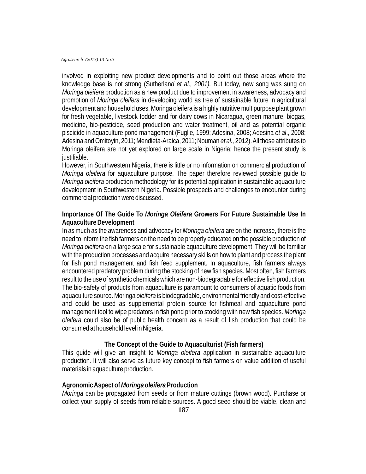#### *Agrosearch (2013) 13 No.3*

involved in exploiting new product developments and to point out those areas where the knowledge base is not strong (Sutherlan*d et al., 2001).* But today, new song was sung on *Moringa oleifera* production as a new product due to improvement in awareness, advocacy and promotion of *Moringa oleifera* in developing world as tree of sustainable future in agricultural development and household uses. Moringa oleifera is a highly nutritive multipurpose plant grown for fresh vegetable, livestock fodder and for dairy cows in Nicaragua, green manure, biogas, medicine, bio-pesticide, seed production and water treatment, oil and as potential organic piscicide in aquaculture pond management (Fuglie, 1999; Adesina, 2008; Adesina *et al*., 2008; Adesina and Omitoyin, 2011; Mendieta-Araica, 2011; Nouman *et al.,* 2012). All those attributes to Moringa oleifera are not yet explored on large scale in Nigeria; hence the present study is justifiable.

However, in Southwestern Nigeria, there is little or no information on commercial production of *Moringa oleifera* for aquaculture purpose. The paper therefore reviewed possible guide to *Moringa oleifera* production methodology for its potential application in sustainable aquaculture development in Southwestern Nigeria. Possible prospects and challenges to encounter during commercial production were discussed.

**Importance Of The Guide To** *Moringa Oleifera* **Growers For Future Sustainable Use In Aquaculture Development**

In as much as the awareness and advocacy for *Moringa oleifera* are on the increase, there is the need to inform the fish farmers on the need to be properly educated on the possible production of *Moringa oleifera* on a large scale for sustainable aquaculture development. They will be familiar with the production processes and acquire necessary skills on how to plant and process the plant for fish pond management and fish feed supplement. In aquaculture, fish farmers always encountered predatory problem during the stocking of new fish species. Most often, fish farmers result to the use of synthetic chemicals which are non-biodegradable for effective fish production. The bio-safety of products from aquaculture is paramount to consumers of aquatic foods from aquaculture source. Moringa *oleifera* is biodegradable, environmental friendly and cost-effective and could be used as supplemental protein source for fishmeal and aquaculture pond management tool to wipe predators in fish pond prior to stocking with new fish species. *Moringa oleifera* could also be of public health concern as a result of fish production that could be consumed at household level in Nigeria.

## **The Concept of the Guide to Aquaculturist (Fish farmers)**

This guide will give an insight to *Moringa oleifera* application in sustainable aquaculture production. It will also serve as future key concept to fish farmers on value addition of useful materials in aquaculture production.

## **Agronomic Aspect of** *Moringa oleifera* **Production**

*Moringa* can be propagated from seeds or from mature cuttings (brown wood). Purchase or collect your supply of seeds from reliable sources. A good seed should be viable, clean and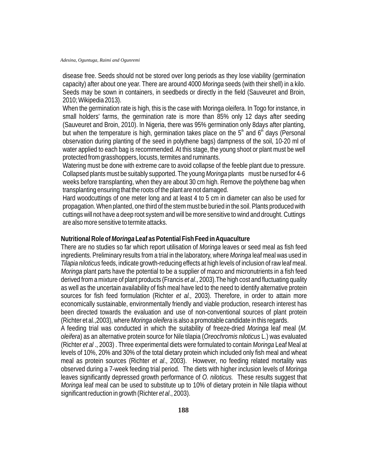disease free. Seeds should not be stored over long periods as they lose viability (germination capacity) after about one year. There are around 4000 *Moringa* seeds (with their shell) in a kilo. Seeds may be sown in containers, in seedbeds or directly in the field (Sauveuret and Broin, 2010; Wikipedia 2013).

When the germination rate is high, this is the case with Moringa oleifera. In Togo for instance, in small holders' farms, the germination rate is more than 85% only 12 days after seeding (Sauveuret and Broin, 2010). In Nigeria, there was 95% germination only 8days after planting, but when the temperature is high, germination takes place on the  $5<sup>th</sup>$  and 6<sup>th</sup> days (Personal observation during planting of the seed in polythene bags) dampness of the soil, 10-20 ml of water applied to each bag is recommended. At this stage, the young shoot or plant must be well protected from grasshoppers, locusts, termites and ruminants.

Watering must be done with extreme care to avoid collapse of the feeble plant due to pressure. Collapsed plants must be suitably supported. The young *Moringa* plants must be nursed for 4-6 weeks before transplanting, when they are about 30 cm high. Remove the polythene bag when transplanting ensuring that the roots of the plant are not damaged.

Hard woodcuttings of one meter long and at least 4 to 5 cm in diameter can also be used for propagation. When planted, one third of the stem must be buried in the soil. Plants produced with cuttings will not have a deep root system and will be more sensitive to wind and drought. Cuttings are also more sensitive to termite attacks.

### **Nutritional Role of** *Moringa* **Leaf as Potential Fish Feed in Aquaculture**

There are no studies so far which report utilisation of *Moringa* leaves or seed meal as fish feed ingredients. Preliminary results from a trial in the laboratory, where *Moringa* leaf meal was used in *Tilapia niloticus* feeds, indicate growth-reducing effects at high levels of inclusion of raw leaf meal. *Moringa* plant parts have the potential to be a supplier of macro and micronutrients in a fish feed derived from a mixture of plant products (Francis *et al*., 2003).The high cost and fluctuating quality as well as the uncertain availability of fish meal have led to the need to identify alternative protein sources for fish feed formulation (Richter *et al.,* 2003). Therefore, in order to attain more economically sustainable, environmentally friendly and viable production, research interest has been directed towards the evaluation and use of non-conventional sources of plant protein (Richter et al.,2003), where *Moringa oleifera* is also a promotable candidate in this regards.

A feeding trial was conducted in which the suitability of freeze-dried *Moringa* leaf meal (*M. oleifera*) as an alternative protein source for Nile tilapia (*Oreochromis niloticus* L.) was evaluated (Richter *et al* ., 2003) . Three experimental diets were formulated to contain *Moringa* Leaf Meal at levels of 10%, 20% and 30% of the total dietary protein which included only fish meal and wheat meal as protein sources (Richter *et al*., 2003). However, no feeding related mortality was observed during a 7-week feeding trial period. The diets with higher inclusion levels of *Moringa*  leaves significantly depressed growth performance of *O. niloticus.* These results suggest that *Moringa* leaf meal can be used to substitute up to 10% of dietary protein in Nile tilapia without significant reduction in growth (Richter *et al*., 2003).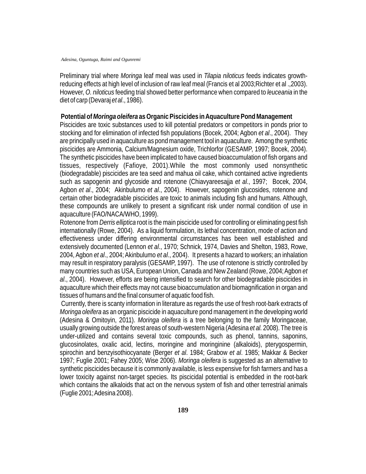Preliminary trial where *Moringa* leaf meal was used in *Tilapia niloticus* feeds indicates growthreducing effects at high level of inclusion of raw leaf meal (Francis et al 2003;Richter et al .,2003). However, *O. niloticus* feeding trial showed better performance when compared to *leuceania* in the diet of carp (Devaraj *et al*., 1986).

 **Potential of** *Moringa oleifera* **as Organic Piscicides in Aquaculture Pond Management** Piscicides are toxic substances used to kill potential predators or competitors in ponds prior to stocking and for elimination of infected fish populations (Bocek, 2004; Agbon *et al*., 2004). They are principally used in aquaculture as pond management tool in aquaculture. Among the synthetic piscicides are Ammonia, Calcium/Magnesium oxide, Trichlorfor (GESAMP, 1997; Bocek, 2004). The synthetic piscicides have been implicated to have caused bioaccumulation of fish organs and tissues, respectively (Fafioye, 2001).While the most commonly used nonsynthetic (biodegradable) piscicides are tea seed and mahua oil cake, which contained active ingredients such as sapogenin and glycoside and rotenone (Chiavyareesajja *et al*., 1997; Bocek, 2004, Agbon *et al*., 2004; Akinbulumo *et al*., 2004). However, sapogenin glucosides, rotenone and certain other biodegradable piscicides are toxic to animals including fish and humans. Although, these compounds are unlikely to present a significant risk under normal condition of use in aquaculture (FAO/NACA/WHO, 1999).

Rotenone from *Derris elliptica* root is the main piscicide used for controlling or eliminating pest fish internationally (Rowe, 2004). As a liquid formulation, its lethal concentration, mode of action and effectiveness under differing environmental circumstances has been well established and extensively documented (Lennon *et al*., 1970; Schnick, 1974, Davies and Shelton, 1983, Rowe, 2004, Agbon *et al*., 2004; Akinbulumo *et al*., 2004). It presents a hazard to workers; an inhalation may result in respiratory paralysis (GESAMP, 1997). The use of rotenone is strictly controlled by many countries such as USA, European Union, Canada and New Zealand (Rowe, 2004; Agbon *et al*., 2004). However, efforts are being intensified to search for other biodegradable piscicides in aquaculture which their effects may not cause bioaccumulation and biomagnification in organ and tissues of humans and the final consumer of aquatic food fish.

 Currently, there is scanty information in literature as regards the use of fresh root-bark extracts of *Moringa oleifera* as an organic piscicide in aquaculture pond management in the developing world (Adesina & Omitoyin, 2011). *Moringa oleifera* is a tree belonging to the family Moringaceae, usually growing outside the forest areas of south-western Nigeria (Adesina *et al.* 2008). The tree is under-utilized and contains several toxic compounds, such as phenol, tannins, saponins, glucosinolates, oxalic acid, lectins, moringine and moringinine (alkaloids), pterygospermin, spirochin and benzyisothiocyanate (Berger *et al*. 1984; Grabow *et al*. 1985; Makkar & Becker 1997; Fuglie 2001; Fahey 2005; Wise 2006). *Moringa oleifera* is suggested as an alternative to synthetic piscicides because it is commonly available, is less expensive for fish farmers and has a lower toxicity against non-target species. Its piscicidal potential is embedded in the root-bark which contains the alkaloids that act on the nervous system of fish and other terrestrial animals (Fuglie 2001; Adesina 2008).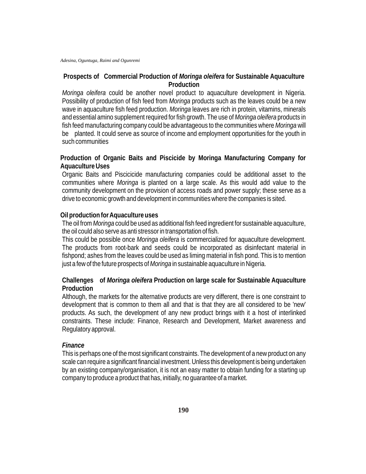# **Prospects of Commercial Production of** *Moringa oleifera* **for Sustainable Aquaculture Production**

*Moringa oleifera* could be another novel product to aquaculture development in Nigeria. Possibility of production of fish feed from *Moringa* products such as the leaves could be a new wave in aquaculture fish feed production. *Moringa* leaves are rich in protein, vitamins, minerals and essential amino supplement required for fish growth. The use of *Moringa oleifera* products in fish feed manufacturing company could be advantageous to the communities where *Moringa* will be planted. It could serve as source of income and employment opportunities for the youth in such communities

**Production of Organic Baits and Piscicide by Moringa Manufacturing Company for Aquaculture Uses**

Organic Baits and Piscicicide manufacturing companies could be additional asset to the communities where *Moringa* is planted on a large scale. As this would add value to the community development on the provision of access roads and power supply; these serve as a drive to economic growth and development in communities where the companies is sited.

## **Oil production for Aquaculture uses**

The oil from *Moringa* could be used as additional fish feed ingredient for sustainable aquaculture, the oil could also serve as anti stressor in transportation of fish.

This could be possible once *Moringa oleifera* is commercialized for aquaculture development. The products from root-bark and seeds could be incorporated as disinfectant material in fishpond; ashes from the leaves could be used as liming material in fish pond. This is to mention just a few of the future prospects of *Moringa* in sustainable aquaculture in Nigeria.

**Challenges of** *Moringa oleifera* **Production on large scale for Sustainable Aquaculture Production**

Although, the markets for the alternative products are very different, there is one constraint to development that is common to them all and that is that they are all considered to be 'new' products. As such, the development of any new product brings with it a host of interlinked constraints. These include: Finance, Research and Development, Market awareness and Regulatory approval.

## *Finance*

This is perhaps one of the most significant constraints. The development of a new product on any scale can require a significant financial investment. Unless this development is being undertaken by an existing company/organisation, it is not an easy matter to obtain funding for a starting up company to produce a product that has, initially, no guarantee of a market.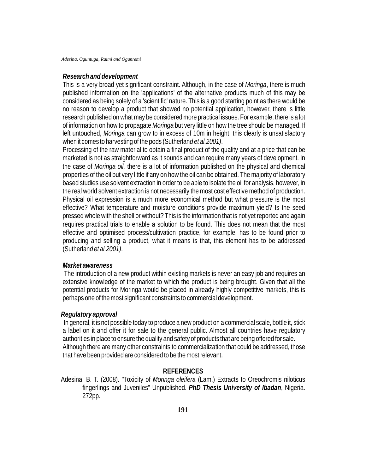## *Research and development*

This is a very broad yet significant constraint. Although, in the case of *Moringa*, there is much published information on the 'applications' of the alternative products much of this may be considered as being solely of a 'scientific' nature. This is a good starting point as there would be no reason to develop a product that showed no potential application, however, there is little research published on what may be considered more practical issues. For example, there is a lot of information on how to propagate *Moringa* but very little on how the tree should be managed. If left untouched, *Moringa* can grow to in excess of 10m in height, this clearly is unsatisfactory when it comes to harvesting of the pods (Sutherlan*d et al.2001)*.

Processing of the raw material to obtain a final product of the quality and at a price that can be marketed is not as straightforward as it sounds and can require many years of development. In the case of *Moringa oil,* there is a lot of information published on the physical and chemical properties of the oil but very little if any on how the oil can be obtained. The majority of laboratory based studies use solvent extraction in order to be able to isolate the oil for analysis, however, in the real world solvent extraction is not necessarily the most cost effective method of production. Physical oil expression is a much more economical method but what pressure is the most effective? What temperature and moisture conditions provide maximum yield? Is the seed pressed whole with the shell or without? This is the information that is not yet reported and again requires practical trials to enable a solution to be found. This does not mean that the most effective and optimised process/cultivation practice, for example, has to be found prior to producing and selling a product, what it means is that, this element has to be addressed (Sutherlan*d et al.2001)*.

## *Market awareness*

The introduction of a new product within existing markets is never an easy job and requires an extensive knowledge of the market to which the product is being brought. Given that all the potential products for Moringa would be placed in already highly competitive markets, this is perhaps one of the most significant constraints to commercial development.

## *Regulatory approval*

 In general, it is not possible today to produce a new product on a commercial scale, bottle it, stick a label on it and offer it for sale to the general public. Almost all countries have regulatory authorities in place to ensure the quality and safety of products that are being offered for sale. Although there are many other constraints to commercialization that could be addressed, those that have been provided are considered to be the most relevant.

# **REFERENCES**

Adesina, B. T. (2008). ''Toxicity of *Moringa oleifera* (Lam.) Extracts to Oreochromis niloticus fingerlings and Juveniles" Unpublished. *PhD Thesis University of Ibadan*, Nigeria. 272pp.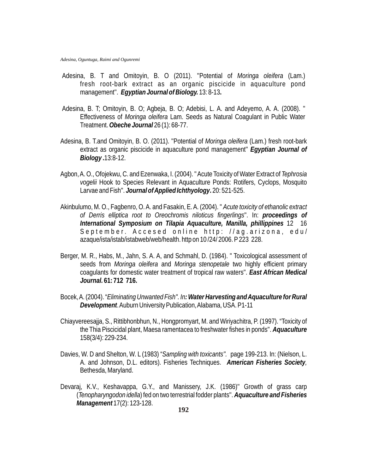- Adesina, B. T and Omitoyin, B. O (2011). ''Potential of *Moringa oleifera* (Lam.) fresh root-bark extract as an organic piscicide in aquaculture pond management''. *Egyptian Journal of Biology.* 13: 8-13**.**
- Adesina, B. T; Omitoyin, B. O; Agbeja, B. O; Adebisi, L. A. and Adeyemo, A. A. (2008). '' Effectiveness of *Moringa oleifera* Lam. Seeds as Natural Coagulant in Public Water Treatment. *Obeche Journal* 26 (1): 68-77.
- Adesina, B. T.and Omitoyin, B. O. (2011). ''Potential of *Moringa oleifera* (Lam.) fresh root-bark extract as organic piscicide in aquaculture pond management'' *Egyptian Journal of Biology* **.**13:8-12.
- Agbon, A. O., Ofojekwu, C. and Ezenwaka, I. (2004). '' Acute Toxicity of Water Extract of *Tephrosia vogelii* Hook to Species Relevant in Aquaculture Ponds: Rotifers, Cyclops, Mosquito Larvae and Fish''. *Journal of Applied Ichthyology***.** 20: 521-525.
- Akinbulumo, M. O., Fagbenro, O. A. and Fasakin, E. A. (2004). '' *Acute toxicity of ethanolic extract of Derris elliptica root to Oreochromis niloticus fingerlings*''. In: *proceedings of International Symposium on Tilapia Aquaculture, Manilla, phillippines* 12 16 September. Accesed online http: //ag.arizona, edu/ azaque/ista/istab/istabweb/web/health. http on 10 /24/ 2006. P 223 228.
- Berger, M. R., Habs, M., Jahn, S. A. A, and Schmahl, D. (1984). '' Toxicological assessment of seeds from *Moringa oleifera* and *Moringa stenopetale* two highly efficient primary coagulants for domestic water treatment of tropical raw waters''. *East African Medical Journal.* **61: 712 716.**
- Bocek, A. (2004). "*Eliminating Unwanted Fish''. In: Water Harvesting and Aquaculture for Rural Development*. Auburn University Publication, Alabama, USA. P1-11
- Chiayvereesajja, S., Rittibhonbhun, N., Hongpromyart, M. and Wiriyachitra, P. (1997). "Toxicity of the Thia Piscicidal plant, Maesa ramentacea to freshwater fishes in ponds''. *Aquaculture* 158(3/4): 229-234.
- Davies, W. D and Shelton, W. L (1983) "*Sampling with toxicants''.* page 199-213. In: (Nielson, L. A. and Johnson, D.L. editors). Fisheries Techniques. *American Fisheries Society,*  Bethesda, Maryland.
- Devaraj, K.V., Keshavappa, G.Y., and Manissery, J.K. (1986)'' Growth of grass carp (*Tenopharyngodon idella*) fed on two terrestrial fodder plants''. *Aquaculture and Fisheries Management* 17(2): 123-128.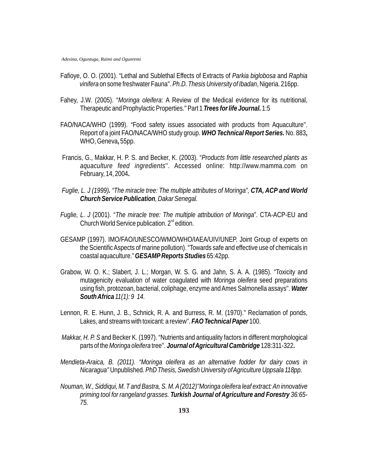- Fafioye, O. O. (2001). "Lethal and Sublethal Effects of Extracts of *Parkia biglobosa* and *Raphia vinifera* on some freshwater Fauna''. *Ph.D. Thesis University of Ibadan*, Nigeria. 216pp.
- Fahey, J.W. (2005). "*Moringa oleifera*: A Review of the Medical evidence for its nutritional, Therapeutic and Prophylactic Properties.'' Part 1 *Trees for life Journal.* 1:5
- FAO/NACA/WHO (1999). "Food safety issues associated with products from Aquaculture''. Report of a joint FAO/NACA/WHO study group. *WHO Technical Report Series.* No. 883**,**  WHO, Geneva**,** 55pp.
- Francis, G., Makkar, H. P. S. and Becker, K. (2003). "*Products from little researched plants as aquaculture feed ingredients*''. Accessed online: http://www.mamma.com on February, 14, 2004**.**
- *Fuglie, L. J (1999). "The miracle tree: The multiple attributes of Moringa", CTA, ACP and World Church Service Publication, Dakar Senegal.*
- *Fuglie, L. J* (2001). "*The miracle tree: The multiple attribution of Moringa*". CTA-ACP-EU and Church World Service publication.  $2^{nd}$  edition.
- GESAMP (1997). IMO/FAO/UNESCO/WMO/WHO/IAEA/UIV/UNEP. Joint Group of experts on the Scientific Aspects of marine pollution). "Towards safe and effective use of chemicals in coastal aquaculture."*GESAMP Reports Studies* 65:42pp.
- Grabow, W. O. K.; Slabert, J. L.; Morgan, W. S. G. and Jahn, S. A. A. (1985). "Toxicity and mutagenicity evaluation of water coagulated with *Moringa oleifera* seed preparations using fish, protozoan, bacterial, coliphage, enzyme and Ames Salmonella assays''. *Water South Africa 11(1): 9 14.*
- Lennon, R. E. Hunn, J. B., Schnick, R. A. and Burress, R. M. (1970).'' Reclamation of ponds, Lakes, and streams with toxicant: a review''. *FAO Technical Paper* 100.
- *Makkar, H. P. S* and Becker K. (1997). "Nutrients and antiquality factors in different morphological parts of the *Moringa oleifera* tree''. *Journal of Agricultural Cambridge* 128:311-322**.**
- *Mendieta-Araica, B. (2011). "Moringa oleifera as an alternative fodder for dairy cows in Nicaragua''* Unpublished*. PhD Thesis, Swedish University of Agriculture Uppsala 118pp.*
- *Nouman, W., Siddiqui, M. T and Bastra, S. M. A (2012)''Moringa oleifera leaf extract: An innovative priming tool for rangeland grasses. Turkish Journal of Agriculture and Forestry 36:65- 75.*